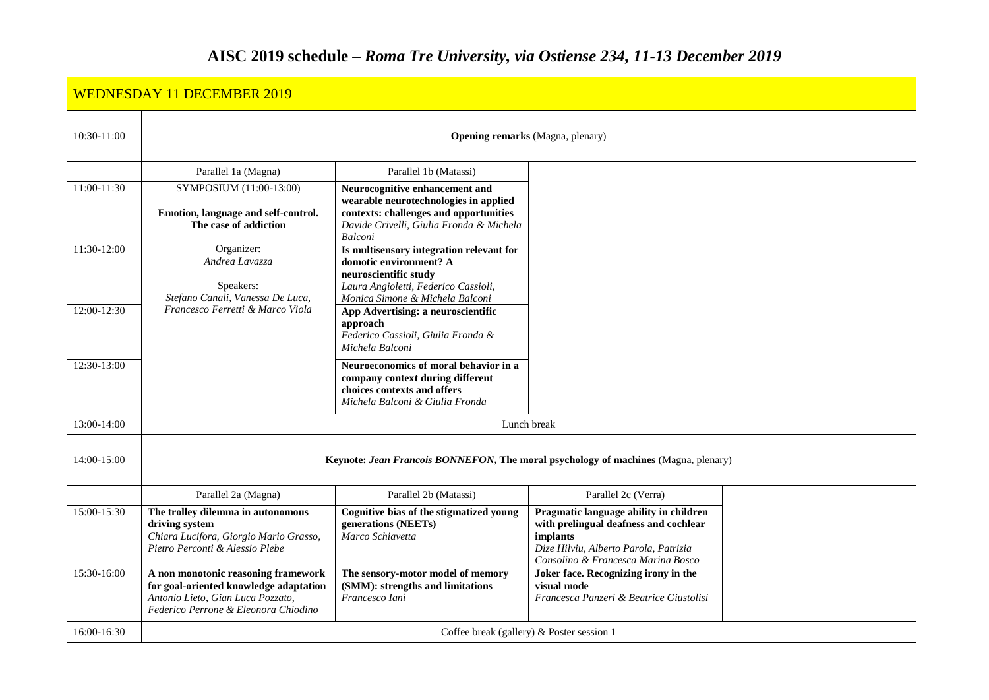|             | <b>WEDNESDAY 11 DECEMBER 2019</b>                                                                                                                          |                                                                                                                                                                                 |                                                                                                                                                                            |  |
|-------------|------------------------------------------------------------------------------------------------------------------------------------------------------------|---------------------------------------------------------------------------------------------------------------------------------------------------------------------------------|----------------------------------------------------------------------------------------------------------------------------------------------------------------------------|--|
| 10:30-11:00 | <b>Opening remarks</b> (Magna, plenary)                                                                                                                    |                                                                                                                                                                                 |                                                                                                                                                                            |  |
|             | Parallel 1a (Magna)                                                                                                                                        | Parallel 1b (Matassi)                                                                                                                                                           |                                                                                                                                                                            |  |
| 11:00-11:30 | SYMPOSIUM (11:00-13:00)<br>Emotion, language and self-control.<br>The case of addiction                                                                    | Neurocognitive enhancement and<br>wearable neurotechnologies in applied<br>contexts: challenges and opportunities<br>Davide Crivelli, Giulia Fronda & Michela<br><b>Balconi</b> |                                                                                                                                                                            |  |
| 11:30-12:00 | Organizer:<br>Andrea Lavazza<br>Speakers:<br>Stefano Canali, Vanessa De Luca,                                                                              | Is multisensory integration relevant for<br>domotic environment? A<br>neuroscientific study<br>Laura Angioletti, Federico Cassioli,<br>Monica Simone & Michela Balconi          |                                                                                                                                                                            |  |
| 12:00-12:30 | Francesco Ferretti & Marco Viola                                                                                                                           | App Advertising: a neuroscientific<br>approach<br>Federico Cassioli, Giulia Fronda &<br>Michela Balconi                                                                         |                                                                                                                                                                            |  |
| 12:30-13:00 |                                                                                                                                                            | Neuroeconomics of moral behavior in a<br>company context during different<br>choices contexts and offers<br>Michela Balconi & Giulia Fronda                                     |                                                                                                                                                                            |  |
| 13:00-14:00 | Lunch break                                                                                                                                                |                                                                                                                                                                                 |                                                                                                                                                                            |  |
| 14:00-15:00 | Keynote: Jean Francois BONNEFON, The moral psychology of machines (Magna, plenary)                                                                         |                                                                                                                                                                                 |                                                                                                                                                                            |  |
|             | Parallel 2a (Magna)                                                                                                                                        | Parallel 2b (Matassi)                                                                                                                                                           | Parallel 2c (Verra)                                                                                                                                                        |  |
| 15:00-15:30 | The trolley dilemma in autonomous<br>driving system<br>Chiara Lucifora, Giorgio Mario Grasso,<br>Pietro Perconti & Alessio Plebe                           | Cognitive bias of the stigmatized young<br>generations (NEETs)<br>Marco Schiavetta                                                                                              | Pragmatic language ability in children<br>with prelingual deafness and cochlear<br>implants<br>Dize Hilviu, Alberto Parola, Patrizia<br>Consolino & Francesca Marina Bosco |  |
| 15:30-16:00 | A non monotonic reasoning framework<br>for goal-oriented knowledge adaptation<br>Antonio Lieto, Gian Luca Pozzato,<br>Federico Perrone & Eleonora Chiodino | The sensory-motor model of memory<br>(SMM): strengths and limitations<br>Francesco Ianì                                                                                         | Joker face. Recognizing irony in the<br>visual mode<br>Francesca Panzeri & Beatrice Giustolisi                                                                             |  |
| 16:00-16:30 | Coffee break (gallery) & Poster session 1                                                                                                                  |                                                                                                                                                                                 |                                                                                                                                                                            |  |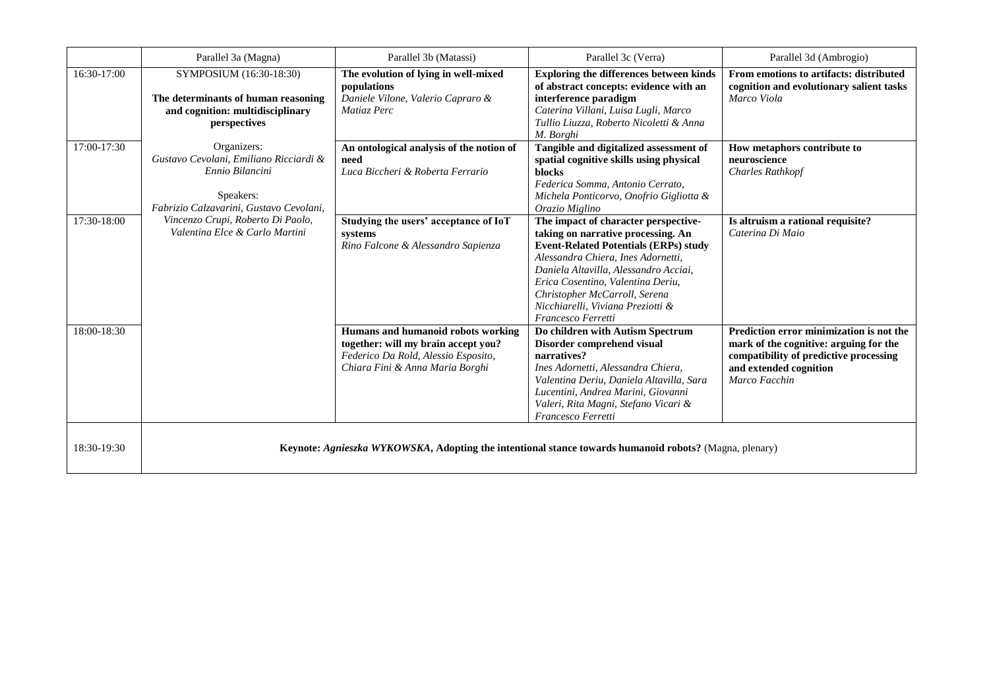|             | Parallel 3a (Magna)                                                                                                              | Parallel 3b (Matassi)                                                                                                                               | Parallel 3c (Verra)                                                                                                                                                                                                                                                                                                                        | Parallel 3d (Ambrogio)                                                                                                                                                  |
|-------------|----------------------------------------------------------------------------------------------------------------------------------|-----------------------------------------------------------------------------------------------------------------------------------------------------|--------------------------------------------------------------------------------------------------------------------------------------------------------------------------------------------------------------------------------------------------------------------------------------------------------------------------------------------|-------------------------------------------------------------------------------------------------------------------------------------------------------------------------|
| 16:30-17:00 | SYMPOSIUM (16:30-18:30)<br>The determinants of human reasoning<br>and cognition: multidisciplinary<br>perspectives               | The evolution of lying in well-mixed<br>populations<br>Daniele Vilone, Valerio Capraro &<br>Matiaz Perc                                             | <b>Exploring the differences between kinds</b><br>of abstract concepts: evidence with an<br>interference paradigm<br>Caterina Villani, Luisa Lugli, Marco<br>Tullio Liuzza, Roberto Nicoletti & Anna<br>M. Borghi                                                                                                                          | From emotions to artifacts: distributed<br>cognition and evolutionary salient tasks<br>Marco Viola                                                                      |
| 17:00-17:30 | Organizers:<br>Gustavo Cevolani, Emiliano Ricciardi &<br>Ennio Bilancini<br>Speakers:<br>Fabrizio Calzavarini, Gustavo Cevolani, | An ontological analysis of the notion of<br>need<br>Luca Biccheri & Roberta Ferrario                                                                | Tangible and digitalized assessment of<br>spatial cognitive skills using physical<br><b>blocks</b><br>Federica Somma, Antonio Cerrato,<br>Michela Ponticorvo, Onofrio Gigliotta &<br>Orazio Miglino                                                                                                                                        | How metaphors contribute to<br>neuroscience<br><b>Charles Rathkopf</b>                                                                                                  |
| 17:30-18:00 | Vincenzo Crupi, Roberto Di Paolo,<br>Valentina Elce & Carlo Martini                                                              | Studying the users' acceptance of IoT<br>systems<br>Rino Falcone & Alessandro Sapienza                                                              | The impact of character perspective-<br>taking on narrative processing. An<br><b>Event-Related Potentials (ERPs) study</b><br>Alessandra Chiera, Ines Adornetti,<br>Daniela Altavilla, Alessandro Acciai,<br>Erica Cosentino, Valentina Deriu.<br>Christopher McCarroll, Serena<br>Nicchiarelli, Viviana Preziotti &<br>Francesco Ferretti | Is altruism a rational requisite?<br>Caterina Di Maio                                                                                                                   |
| 18:00-18:30 |                                                                                                                                  | Humans and humanoid robots working<br>together: will my brain accept you?<br>Federico Da Rold, Alessio Esposito,<br>Chiara Fini & Anna Maria Borghi | Do children with Autism Spectrum<br>Disorder comprehend visual<br>narratives?<br>Ines Adornetti, Alessandra Chiera,<br>Valentina Deriu, Daniela Altavilla, Sara<br>Lucentini, Andrea Marini, Giovanni<br>Valeri, Rita Magni, Stefano Vicari &<br>Francesco Ferretti                                                                        | Prediction error minimization is not the<br>mark of the cognitive: arguing for the<br>compatibility of predictive processing<br>and extended cognition<br>Marco Facchin |
| 18:30-19:30 |                                                                                                                                  |                                                                                                                                                     | Keynote: Agnieszka WYKOWSKA, Adopting the intentional stance towards humanoid robots? (Magna, plenary)                                                                                                                                                                                                                                     |                                                                                                                                                                         |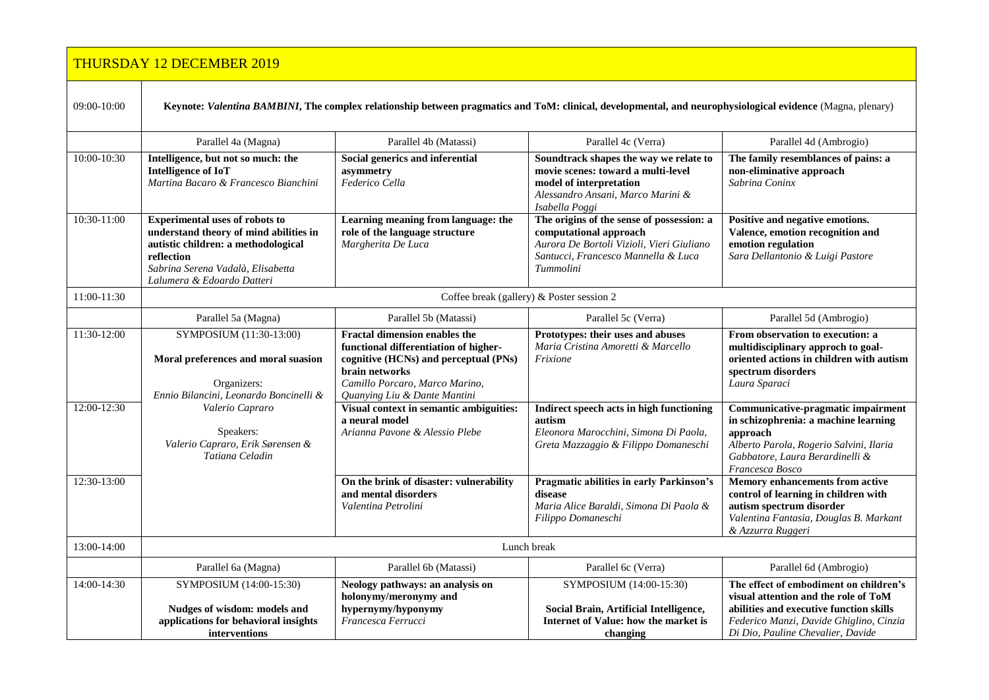|             | <b>THURSDAY 12 DECEMBER 2019</b>                                                                                                                                                                        |                                                                                                                                                                                                            |                                                                                                                                                                      |                                                                                                                                                                                                           |
|-------------|---------------------------------------------------------------------------------------------------------------------------------------------------------------------------------------------------------|------------------------------------------------------------------------------------------------------------------------------------------------------------------------------------------------------------|----------------------------------------------------------------------------------------------------------------------------------------------------------------------|-----------------------------------------------------------------------------------------------------------------------------------------------------------------------------------------------------------|
| 09:00-10:00 | Keynote: Valentina BAMBINI, The complex relationship between pragmatics and ToM: clinical, developmental, and neurophysiological evidence (Magna, plenary)                                              |                                                                                                                                                                                                            |                                                                                                                                                                      |                                                                                                                                                                                                           |
|             | Parallel 4a (Magna)                                                                                                                                                                                     | Parallel 4b (Matassi)                                                                                                                                                                                      | Parallel 4c (Verra)                                                                                                                                                  | Parallel 4d (Ambrogio)                                                                                                                                                                                    |
| 10:00-10:30 | Intelligence, but not so much: the<br><b>Intelligence of IoT</b><br>Martina Bacaro & Francesco Bianchini                                                                                                | Social generics and inferential<br>asymmetry<br>Federico Cella                                                                                                                                             | Soundtrack shapes the way we relate to<br>movie scenes: toward a multi-level<br>model of interpretation<br>Alessandro Ansani, Marco Marini &<br>Isabella Poggi       | The family resemblances of pains: a<br>non-eliminative approach<br>Sabrina Coninx                                                                                                                         |
| 10:30-11:00 | <b>Experimental uses of robots to</b><br>understand theory of mind abilities in<br>autistic children: a methodological<br>reflection<br>Sabrina Serena Vadalà, Elisabetta<br>Lalumera & Edoardo Datteri | Learning meaning from language: the<br>role of the language structure<br>Margherita De Luca                                                                                                                | The origins of the sense of possession: a<br>computational approach<br>Aurora De Bortoli Vizioli, Vieri Giuliano<br>Santucci, Francesco Mannella & Luca<br>Tummolini | Positive and negative emotions.<br>Valence, emotion recognition and<br>emotion regulation<br>Sara Dellantonio & Luigi Pastore                                                                             |
| 11:00-11:30 | Coffee break (gallery) & Poster session 2                                                                                                                                                               |                                                                                                                                                                                                            |                                                                                                                                                                      |                                                                                                                                                                                                           |
|             | Parallel 5a (Magna)                                                                                                                                                                                     | Parallel 5b (Matassi)                                                                                                                                                                                      | Parallel 5c (Verra)                                                                                                                                                  | Parallel 5d (Ambrogio)                                                                                                                                                                                    |
| 11:30-12:00 | SYMPOSIUM (11:30-13:00)<br>Moral preferences and moral suasion<br>Organizers:<br>Ennio Bilancini, Leonardo Boncinelli &                                                                                 | <b>Fractal dimension enables the</b><br>functional differentiation of higher-<br>cognitive (HCNs) and perceptual (PNs)<br>brain networks<br>Camillo Porcaro, Marco Marino,<br>Quanying Liu & Dante Mantini | Prototypes: their uses and abuses<br>Maria Cristina Amoretti & Marcello<br>Frixione                                                                                  | From observation to execution: a<br>multidisciplinary approch to goal-<br>oriented actions in children with autism<br>spectrum disorders<br>Laura Sparaci                                                 |
| 12:00-12:30 | Valerio Capraro<br>Speakers:<br>Valerio Capraro, Erik Sørensen &<br>Tatiana Celadin                                                                                                                     | Visual context in semantic ambiguities:<br>a neural model<br>Arianna Pavone & Alessio Plebe                                                                                                                | Indirect speech acts in high functioning<br>autism<br>Eleonora Marocchini, Simona Di Paola,<br>Greta Mazzaggio & Filippo Domaneschi                                  | Communicative-pragmatic impairment<br>in schizophrenia: a machine learning<br>approach<br>Alberto Parola, Rogerio Salvini, Ilaria<br>Gabbatore, Laura Berardinelli &<br>Francesca Bosco                   |
| 12:30-13:00 |                                                                                                                                                                                                         | On the brink of disaster: vulnerability<br>and mental disorders<br>Valentina Petrolini                                                                                                                     | Pragmatic abilities in early Parkinson's<br>disease<br>Maria Alice Baraldi, Simona Di Paola &<br>Filippo Domaneschi                                                  | Memory enhancements from active<br>control of learning in children with<br>autism spectrum disorder<br>Valentina Fantasia, Douglas B. Markant<br>& Azzurra Ruggeri                                        |
| 13:00-14:00 | Lunch break                                                                                                                                                                                             |                                                                                                                                                                                                            |                                                                                                                                                                      |                                                                                                                                                                                                           |
|             | Parallel 6a (Magna)                                                                                                                                                                                     | Parallel 6b (Matassi)                                                                                                                                                                                      | Parallel 6c (Verra)                                                                                                                                                  | Parallel 6d (Ambrogio)                                                                                                                                                                                    |
| 14:00-14:30 | SYMPOSIUM (14:00-15:30)<br>Nudges of wisdom: models and<br>applications for behavioral insights<br>interventions                                                                                        | Neology pathways: an analysis on<br>holonymy/meronymy and<br>hypernymy/hyponymy<br>Francesca Ferrucci                                                                                                      | SYMPOSIUM (14:00-15:30)<br>Social Brain, Artificial Intelligence,<br>Internet of Value: how the market is<br>changing                                                | The effect of embodiment on children's<br>visual attention and the role of ToM<br>abilities and executive function skills<br>Federico Manzi, Davide Ghiglino, Cinzia<br>Di Dio, Pauline Chevalier, Davide |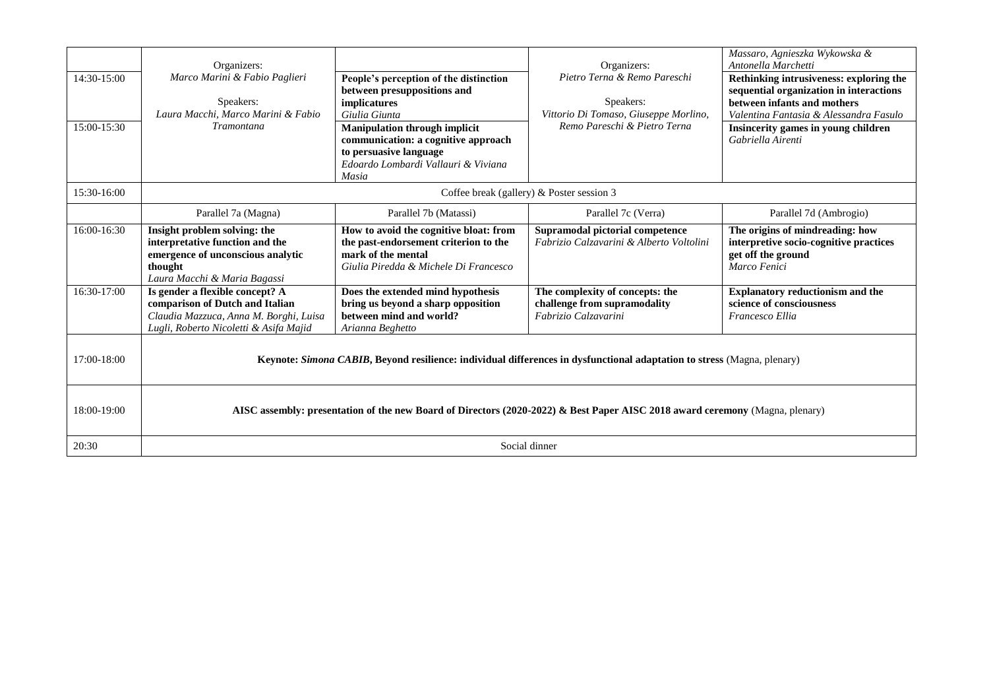| 14:30-15:00<br>15:00-15:30 | Organizers:<br>Marco Marini & Fabio Paglieri<br>Speakers:<br>Laura Macchi, Marco Marini & Fabio<br><b>Tramontana</b>                                   | People's perception of the distinction<br>between presuppositions and<br>implicatures<br>Giulia Giunta<br><b>Manipulation through implicit</b><br>communication: a cognitive approach<br>to persuasive language<br>Edoardo Lombardi Vallauri & Viviana<br>Masia | Organizers:<br>Pietro Terna & Remo Pareschi<br>Speakers:<br>Vittorio Di Tomaso, Giuseppe Morlino,<br>Remo Pareschi & Pietro Terna | Massaro, Agnieszka Wykowska &<br>Antonella Marchetti<br>Rethinking intrusiveness: exploring the<br>sequential organization in interactions<br>between infants and mothers<br>Valentina Fantasia & Alessandra Fasulo<br>Insincerity games in young children<br>Gabriella Airenti |
|----------------------------|--------------------------------------------------------------------------------------------------------------------------------------------------------|-----------------------------------------------------------------------------------------------------------------------------------------------------------------------------------------------------------------------------------------------------------------|-----------------------------------------------------------------------------------------------------------------------------------|---------------------------------------------------------------------------------------------------------------------------------------------------------------------------------------------------------------------------------------------------------------------------------|
| 15:30-16:00                | Coffee break (gallery) $&$ Poster session 3                                                                                                            |                                                                                                                                                                                                                                                                 |                                                                                                                                   |                                                                                                                                                                                                                                                                                 |
|                            | Parallel 7a (Magna)                                                                                                                                    | Parallel 7b (Matassi)                                                                                                                                                                                                                                           | Parallel 7c (Verra)                                                                                                               | Parallel 7d (Ambrogio)                                                                                                                                                                                                                                                          |
| 16:00-16:30                | Insight problem solving: the<br>interpretative function and the<br>emergence of unconscious analytic<br>thought<br>Laura Macchi & Maria Bagassi        | How to avoid the cognitive bloat: from<br>the past-endorsement criterion to the<br>mark of the mental<br>Giulia Piredda & Michele Di Francesco                                                                                                                  | Supramodal pictorial competence<br>Fabrizio Calzavarini & Alberto Voltolini                                                       | The origins of mindreading: how<br>interpretive socio-cognitive practices<br>get off the ground<br>Marco Fenici                                                                                                                                                                 |
| 16:30-17:00                | Is gender a flexible concept? A<br>comparison of Dutch and Italian<br>Claudia Mazzuca, Anna M. Borghi, Luisa<br>Lugli, Roberto Nicoletti & Asifa Majid | Does the extended mind hypothesis<br>bring us beyond a sharp opposition<br>between mind and world?<br>Arianna Beghetto                                                                                                                                          | The complexity of concepts: the<br>challenge from supramodality<br>Fabrizio Calzavarini                                           | <b>Explanatory reductionism and the</b><br>science of consciousness<br>Francesco Ellia                                                                                                                                                                                          |
| 17:00-18:00                | Keynote: Simona CABIB, Beyond resilience: individual differences in dysfunctional adaptation to stress (Magna, plenary)                                |                                                                                                                                                                                                                                                                 |                                                                                                                                   |                                                                                                                                                                                                                                                                                 |
| 18:00-19:00                | AISC assembly: presentation of the new Board of Directors (2020-2022) & Best Paper AISC 2018 award ceremony (Magna, plenary)                           |                                                                                                                                                                                                                                                                 |                                                                                                                                   |                                                                                                                                                                                                                                                                                 |
| 20:30                      | Social dinner                                                                                                                                          |                                                                                                                                                                                                                                                                 |                                                                                                                                   |                                                                                                                                                                                                                                                                                 |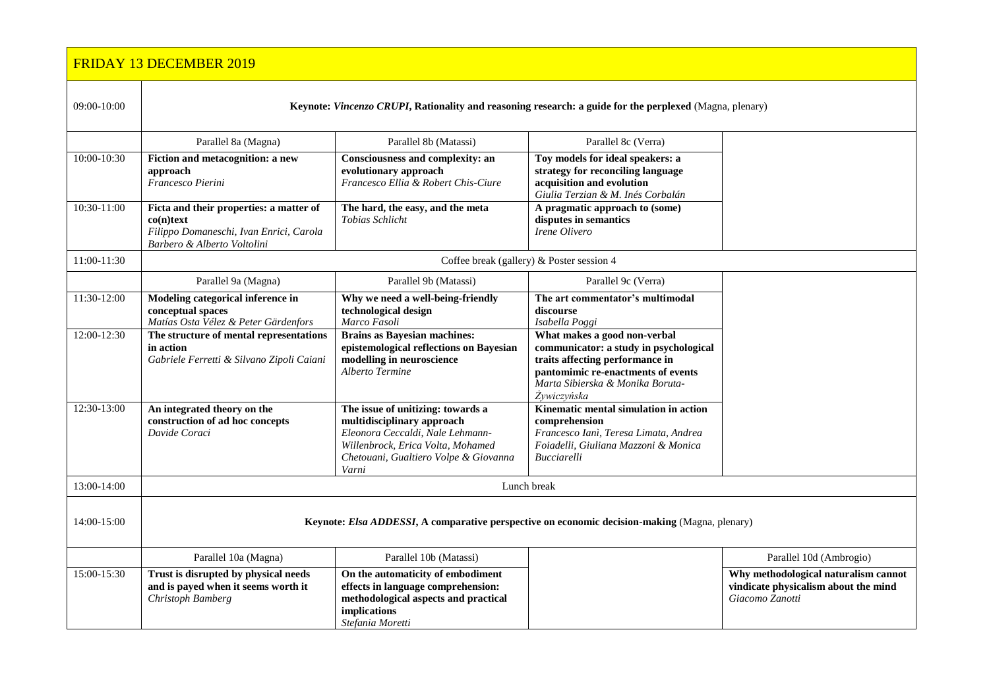|                                                                                                                        | <b>FRIDAY 13 DECEMBER 2019</b>                                                                                                    |                                                                                                                                                                                            |                                                                                                                                                                                                    |                                                                                                 |
|------------------------------------------------------------------------------------------------------------------------|-----------------------------------------------------------------------------------------------------------------------------------|--------------------------------------------------------------------------------------------------------------------------------------------------------------------------------------------|----------------------------------------------------------------------------------------------------------------------------------------------------------------------------------------------------|-------------------------------------------------------------------------------------------------|
| 09:00-10:00<br>Keynote: Vincenzo CRUPI, Rationality and reasoning research: a guide for the perplexed (Magna, plenary) |                                                                                                                                   |                                                                                                                                                                                            |                                                                                                                                                                                                    |                                                                                                 |
|                                                                                                                        | Parallel 8a (Magna)                                                                                                               | Parallel 8b (Matassi)                                                                                                                                                                      | Parallel 8c (Verra)                                                                                                                                                                                |                                                                                                 |
| 10:00-10:30                                                                                                            | Fiction and metacognition: a new<br>approach<br>Francesco Pierini                                                                 | Consciousness and complexity: an<br>evolutionary approach<br>Francesco Ellia & Robert Chis-Ciure                                                                                           | Toy models for ideal speakers: a<br>strategy for reconciling language<br>acquisition and evolution<br>Giulia Terzian & M. Inés Corbalán                                                            |                                                                                                 |
| 10:30-11:00                                                                                                            | Ficta and their properties: a matter of<br>$co(n)$ text<br>Filippo Domaneschi, Ivan Enrici, Carola<br>Barbero & Alberto Voltolini | The hard, the easy, and the meta<br>Tobias Schlicht                                                                                                                                        | A pragmatic approach to (some)<br>disputes in semantics<br>Irene Olivero                                                                                                                           |                                                                                                 |
| 11:00-11:30                                                                                                            | Coffee break (gallery) & Poster session 4                                                                                         |                                                                                                                                                                                            |                                                                                                                                                                                                    |                                                                                                 |
|                                                                                                                        | Parallel 9a (Magna)                                                                                                               | Parallel 9b (Matassi)                                                                                                                                                                      | Parallel 9c (Verra)                                                                                                                                                                                |                                                                                                 |
| 11:30-12:00                                                                                                            | Modeling categorical inference in<br>conceptual spaces<br>Matías Osta Vélez & Peter Gärdenfors                                    | Why we need a well-being-friendly<br>technological design<br>Marco Fasoli                                                                                                                  | The art commentator's multimodal<br>discourse<br>Isabella Poggi                                                                                                                                    |                                                                                                 |
| 12:00-12:30                                                                                                            | The structure of mental representations<br>in action<br>Gabriele Ferretti & Silvano Zipoli Caiani                                 | <b>Brains as Bayesian machines:</b><br>epistemological reflections on Bayesian<br>modelling in neuroscience<br>Alberto Termine                                                             | What makes a good non-verbal<br>communicator: a study in psychological<br>traits affecting performance in<br>pantomimic re-enactments of events<br>Marta Sibierska & Monika Boruta-<br>Żywiczyńska |                                                                                                 |
| 12:30-13:00                                                                                                            | An integrated theory on the<br>construction of ad hoc concepts<br>Davide Coraci                                                   | The issue of unitizing: towards a<br>multidisciplinary approach<br>Eleonora Ceccaldi, Nale Lehmann-<br>Willenbrock, Erica Volta, Mohamed<br>Chetouani, Gualtiero Volpe & Giovanna<br>Varni | Kinematic mental simulation in action<br>comprehension<br>Francesco Ianì, Teresa Limata, Andrea<br>Foiadelli, Giuliana Mazzoni & Monica<br><b>Bucciarelli</b>                                      |                                                                                                 |
| 13:00-14:00                                                                                                            | Lunch break                                                                                                                       |                                                                                                                                                                                            |                                                                                                                                                                                                    |                                                                                                 |
| 14:00-15:00                                                                                                            | Keynote: Elsa ADDESSI, A comparative perspective on economic decision-making (Magna, plenary)                                     |                                                                                                                                                                                            |                                                                                                                                                                                                    |                                                                                                 |
|                                                                                                                        | Parallel 10a (Magna)                                                                                                              | Parallel 10b (Matassi)                                                                                                                                                                     |                                                                                                                                                                                                    | Parallel 10d (Ambrogio)                                                                         |
| 15:00-15:30                                                                                                            | Trust is disrupted by physical needs<br>and is payed when it seems worth it<br>Christoph Bamberg                                  | On the automaticity of embodiment<br>effects in language comprehension:<br>methodological aspects and practical<br><i>implications</i><br>Stefania Moretti                                 |                                                                                                                                                                                                    | Why methodological naturalism cannot<br>vindicate physicalism about the mind<br>Giacomo Zanotti |

*Stefania Moretti*